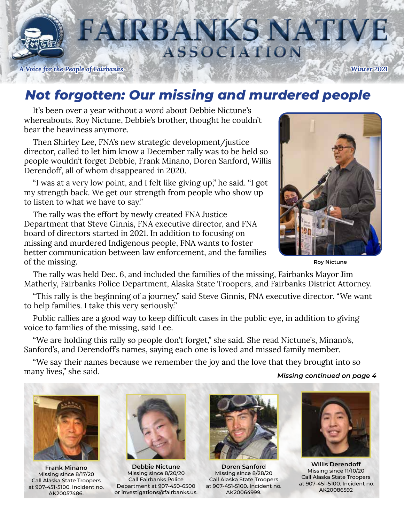

# **FAIRBANKS NATIVE ASSOCIATION**

*A Voice for the People of Fairbanks Winter 2021*

### *Not forgotten: Our missing and murdered people*

It's been over a year without a word about Debbie Nictune's whereabouts. Roy Nictune, Debbie's brother, thought he couldn't bear the heaviness anymore.

Then Shirley Lee, FNA's new strategic development/justice director, called to let him know a December rally was to be held so people wouldn't forget Debbie, Frank Minano, Doren Sanford, Willis Derendoff, all of whom disappeared in 2020.

"I was at a very low point, and I felt like giving up," he said. "I got my strength back. We get our strength from people who show up to listen to what we have to say."

The rally was the effort by newly created FNA Justice Department that Steve Ginnis, FNA executive director, and FNA board of directors started in 2021. In addition to focusing on missing and murdered Indigenous people, FNA wants to foster better communication between law enforcement, and the families of the missing.



**Roy Nictune**

The rally was held Dec. 6, and included the families of the missing, Fairbanks Mayor Jim Matherly, Fairbanks Police Department, Alaska State Troopers, and Fairbanks District Attorney.

"This rally is the beginning of a journey," said Steve Ginnis, FNA executive director. "We want to help families. I take this very seriously."

Public rallies are a good way to keep difficult cases in the public eye, in addition to giving voice to families of the missing, said Lee.

"We are holding this rally so people don't forget," she said. She read Nictune's, Minano's, Sanford's, and Derendoff's names, saying each one is loved and missed family member.

"We say their names because we remember the joy and the love that they brought into so many lives," she said. *Missing continued on page 4*



**Frank Minano** Missing since 8/17/20 Call Alaska State Troopers at 907-451-5100. Incident no. AK20057486.



**Debbie Nictune** Missing since 8/20/20 Call Fairbanks Police Department at 907-450-6500 or investigations@fairbanks.us.



**Doren Sanford** Missing since 8/28/20 Call Alaska State Troopers at 907-451-5100. Incident no. AK20064999.



**Willis Derendoff** Missing since 11/10/20 Call Alaska State Troopers at 907-451-5100. Incident no. AK20086592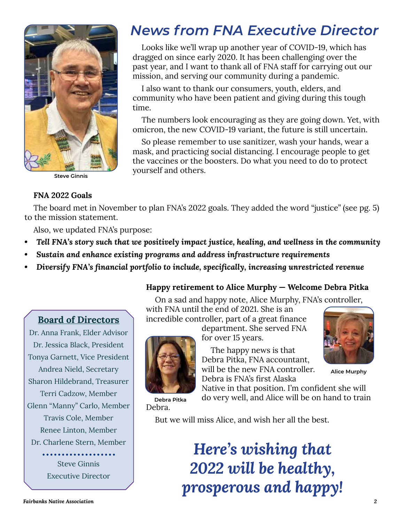

**Steve Ginnis**

### *News from FNA Executive Director*

Looks like we'll wrap up another year of COVID-19, which has dragged on since early 2020. It has been challenging over the past year, and I want to thank all of FNA staff for carrying out our mission, and serving our community during a pandemic.

I also want to thank our consumers, youth, elders, and community who have been patient and giving during this tough time.

The numbers look encouraging as they are going down. Yet, with omicron, the new COVID-19 variant, the future is still uncertain.

So please remember to use sanitizer, wash your hands, wear a mask, and practicing social distancing. I encourage people to get the vaccines or the boosters. Do what you need to do to protect yourself and others.

#### **FNA 2022 Goals**

The board met in November to plan FNA's 2022 goals. They added the word "justice" (see pg. 5) to the mission statement.

Also, we updated FNA's purpose:

- *• Tell FNA's story such that we positively impact justice, healing, and wellness in the community*
- *• Sustain and enhance existing programs and address infrastructure requirements*
- *• Diversify FNA's financial portfolio to include, specifically, increasing unrestricted revenue*

#### **Happy retirement to Alice Murphy — Welcome Debra Pitka**

On a sad and happy note, Alice Murphy, FNA's controller,

#### **Board of Directors**

Dr. Anna Frank, Elder Advisor Dr. Jessica Black, President Tonya Garnett, Vice President Andrea Nield, Secretary Sharon Hildebrand, Treasurer Terri Cadzow, Member Glenn "Manny" Carlo, Member Travis Cole, Member Renee Linton, Member Dr. Charlene Stern, Member

> Steve Ginnis Executive Director

with FNA until the end of 2021. She is an incredible controller, part of a great finance department. She served FNA



for over 15 years.

The happy news is that Debra Pitka, FNA accountant, will be the new FNA controller. Debra is FNA's first Alaska

Native in that position. I'm confident she will do very well, and Alice will be on hand to train

**Alice Murphy**

**Debra Pitka** Debra.

But we will miss Alice, and wish her all the best.

*Here's wishing that 2022 will be healthy, prosperous and happy!*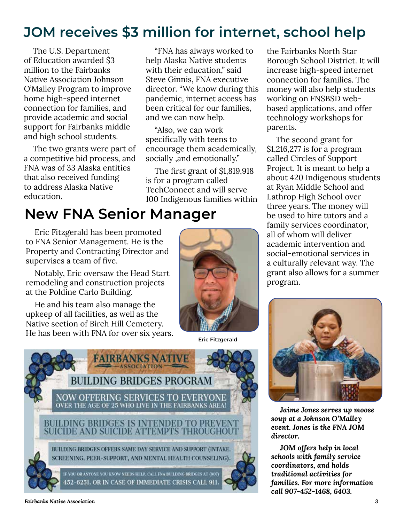### **JOM receives \$3 million for internet, school help**

The U.S. Department of Education awarded \$3 million to the Fairbanks Native Association Johnson O'Malley Program to improve home high-speed internet connection for families, and provide academic and social support for Fairbanks middle and high school students.

The two grants were part of a competitive bid process, and FNA was of 33 Alaska entities that also received funding to address Alaska Native education.

"FNA has always worked to help Alaska Native students with their education," said Steve Ginnis, FNA executive director. "We know during this pandemic, internet access has been critical for our families, and we can now help.

"Also, we can work specifically with teens to encourage them academically, socially ,and emotionally."

The first grant of \$1,819,918 is for a program called TechConnect and will serve 100 Indigenous families within

### **New FNA Senior Manager**

Eric Fitzgerald has been promoted to FNA Senior Management. He is the Property and Contracting Director and supervises a team of five.

Notably, Eric oversaw the Head Start remodeling and construction projects at the Poldine Carlo Building.

He and his team also manage the upkeep of all facilities, as well as the Native section of Birch Hill Cemetery. He has been with FNA for over six years.



**Eric Fitzgerald**



the Fairbanks North Star Borough School District. It will increase high-speed internet connection for families. The money will also help students working on FNSBSD webbased applications, and offer technology workshops for parents.

The second grant for \$1,216,277 is for a program called Circles of Support Project. It is meant to help a about 420 Indigenous students at Ryan Middle School and Lathrop High School over three years. The money will be used to hire tutors and a family services coordinator, all of whom will deliver academic intervention and social-emotional services in a culturally relevant way. The grant also allows for a summer program.



*Jaime Jones serves up moose soup at a Johnson O'Malley event. Jones is the FNA JOM director.* 

*JOM offers help in local schools with family service coordinators, and holds traditional activities for families. For more information call 907-452-1468, 6403.*

#### *Fairbanks Native Association 3*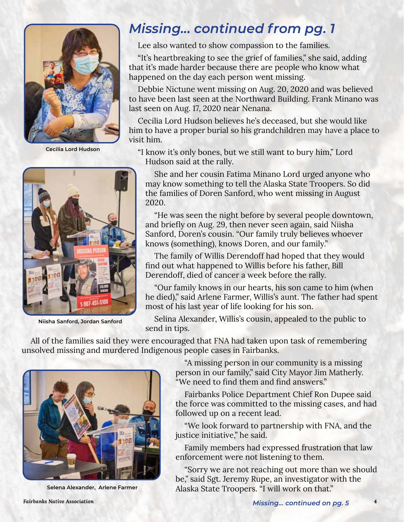

**Cecilia Lord Hudson**



 **Niisha Sanford, Jordan Sanford**

### *Missing... continued from pg. 1*

Lee also wanted to show compassion to the families.

"It's heartbreaking to see the grief of families," she said, adding that it's made harder because there are people who know what happened on the day each person went missing.

Debbie Nictune went missing on Aug. 20, 2020 and was believed to have been last seen at the Northward Building. Frank Minano was last seen on Aug. 17, 2020 near Nenana.

Cecilia Lord Hudson believes he's deceased, but she would like him to have a proper burial so his grandchildren may have a place to visit him.

"I know it's only bones, but we still want to bury him," Lord Hudson said at the rally.

She and her cousin Fatima Minano Lord urged anyone who may know something to tell the Alaska State Troopers. So did the families of Doren Sanford, who went missing in August 2020.

"He was seen the night before by several people downtown, and briefly on Aug. 29, then never seen again, said Niisha Sanford, Doren's cousin. "Our family truly believes whoever knows (something), knows Doren, and our family."

The family of Willis Derendoff had hoped that they would find out what happened to Willis before his father, Bill Derendoff, died of cancer a week before the rally.

"Our family knows in our hearts, his son came to him (when he died)," said Arlene Farmer, Willis's aunt. The father had spent most of his last year of life looking for his son.

Selina Alexander, Willis's cousin, appealed to the public to send in tips.

All of the families said they were encouraged that FNA had taken upon task of remembering unsolved missing and murdered Indigenous people cases in Fairbanks.



**Selena Alexander, Arlene Farmer**

"A missing person in our community is a missing person in our family," said City Mayor Jim Matherly. "We need to find them and find answers."

Fairbanks Police Department Chief Ron Dupee said the force was committed to the missing cases, and had followed up on a recent lead.

"We look forward to partnership with FNA, and the justice initiative," he said.

Family members had expressed frustration that law enforcement were not listening to them.

"Sorry we are not reaching out more than we should be," said Sgt. Jeremy Rupe, an investigator with the Alaska State Troopers. "I will work on that."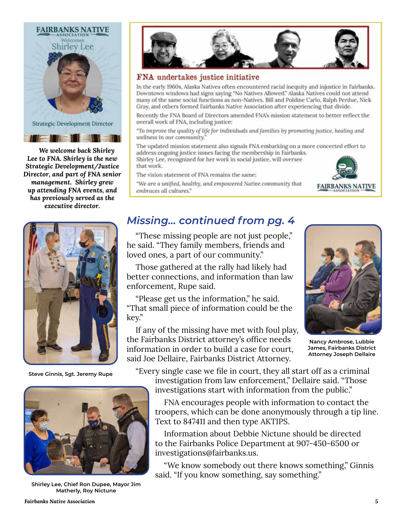

*We welcome back Shirley Lee to FNA. Shirley is the new Strategic Development/Justice Director, and part of FNA senior management. Shirley grew up attending FNA events, and has previously served as the executive director.*



 **Steve Ginnis, Sgt. Jeremy Rupe**



**Shirley Lee, Chief Ron Dupee, Mayor Jim Matherly, Roy Nictune**



#### FNA undertakes justice initiative

In the early 1960s, Alaska Natives often encountered racial inequity and injustice in Fairbanks. Downtown windows had signs saying "No Natives Allowed." Alaska Natives could not attend many of the same social functions as non-Natives. Bill and Poldine Carlo, Ralph Perdue, Nick Gray, and others formed Fairbanks Native Association after experiencing that divide.

Recently the FNA Board of Directors amended FNA's mission statement to better reflect the overall work of FNA, including justice:

"To improve the quality of life for individuals and families by promoting justice, healing and wellness in our community."

The updated mission statement also signals FNA embarking on a more concerted effort to address ongoing justice issues facing the membership in Fairbanks. Shirley Lee, recognized for her work in social justice, will oversee that work.

The vision statement of FNA remains the same:

**FAIRBANKS NATIVE** 

"We are a unified, healthy, and empowered Native community that embraces all cultures."

#### *Missing... continued from pg. 4*

"These missing people are not just people," he said. "They family members, friends and loved ones, a part of our community."

Those gathered at the rally had likely had better connections, and information than law enforcement, Rupe said.

"Please get us the information," he said. "That small piece of information could be the key."

If any of the missing have met with foul play, the Fairbanks District attorney's office needs information in order to build a case for court, said Joe Dellaire, Fairbanks District Attorney.



**Nancy Ambrose, Lubbie James, Fairbanks District Attorney Joseph Dellaire**

"Every single case we file in court, they all start off as a criminal investigation from law enforcement," Dellaire said. "Those investigations start with information from the public."

FNA encourages people with information to contact the troopers, which can be done anonymously through a tip line. Text to 847411 and then type AKTIPS.

Information about Debbie Nictune should be directed to the Fairbanks Police Department at 907-450-6500 or investigations@fairbanks.us.

"We know somebody out there knows something," Ginnis said. "If you know something, say something."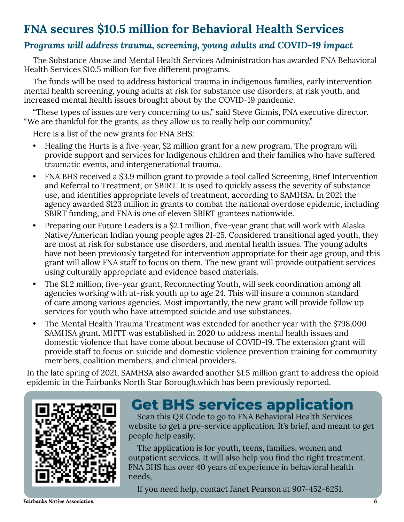#### **FNA secures \$10.5 million for Behavioral Health Services**

#### *Programs will address trauma, screening, young adults and COVID-19 impact*

The Substance Abuse and Mental Health Services Administration has awarded FNA Behavioral Health Services \$10.5 million for five different programs.

The funds will be used to address historical trauma in indigenous families, early intervention mental health screening, young adults at risk for substance use disorders, at risk youth, and increased mental health issues brought about by the COVID-19 pandemic.

"These types of issues are very concerning to us," said Steve Ginnis, FNA executive director. "We are thankful for the grants, as they allow us to really help our community."

Here is a list of the new grants for FNA BHS:

- Healing the Hurts is a five-year, \$2 million grant for a new program. The program will provide support and services for Indigenous children and their families who have suffered traumatic events, and intergenerational trauma.
- FNA BHS received a \$3.9 million grant to provide a tool called Screening, Brief Intervention and Referral to Treatment, or SBIRT. It is used to quickly assess the severity of substance use, and identifies appropriate levels of treatment, according to SAMHSA. In 2021 the agency awarded \$123 million in grants to combat the national overdose epidemic, including SBIRT funding, and FNA is one of eleven SBIRT grantees nationwide.
- Preparing our Future Leaders is a \$2.1 million, five-year grant that will work with Alaska Native/American Indian young people ages 21-25. Considered transitional aged youth, they are most at risk for substance use disorders, and mental health issues. The young adults have not been previously targeted for intervention appropriate for their age group, and this grant will allow FNA staff to focus on them. The new grant will provide outpatient services using culturally appropriate and evidence based materials.
- The \$1.2 million, five-year grant, Reconnecting Youth, will seek coordination among all agencies working with at-risk youth up to age 24. This will insure a common standard of care among various agencies. Most importantly, the new grant will provide follow up services for youth who have attempted suicide and use substances.
- The Mental Health Trauma Treatment was extended for another year with the \$798,000 SAMHSA grant. MHTT was established in 2020 to address mental health issues and domestic violence that have come about because of COVID-19. The extension grant will provide staff to focus on suicide and domestic violence prevention training for community members, coalition members, and clinical providers.

In the late spring of 2021, SAMHSA also awarded another \$1.5 million grant to address the opioid epidemic in the Fairbanks North Star Borough,which has been previously reported.



## **Get BHS services application**

Scan this QR Code to go to FNA Behavioral Health Services website to get a pre-service application. It's brief, and meant to get people help easily.

The application is for youth, teens, families, women and outpatient services. It will also help you find the right treatment. FNA BHS has over 40 years of experience in behavioral health needs,

If you need help, contact Janet Pearson at 907-452-6251.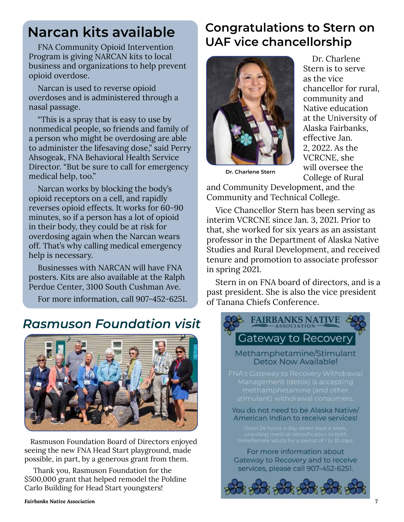### **Narcan kits available**

Program is giving NARCAN kits to local business and organizations to help prevent opioid overdose.

Narcan is used to reverse opioid overdoses and is administered through a nasal passage.

"This is a spray that is easy to use by nonmedical people, so friends and family of a person who might be overdosing are able to administer the lifesaving dose," said Perry Ahsogeak, FNA Behavioral Health Service Director. "But be sure to call for emergency medical help, too."

Narcan works by blocking the body's opioid receptors on a cell, and rapidly reverses opioid effects. It works for 60-90 minutes, so if a person has a lot of opioid in their body, they could be at risk for overdosing again when the Narcan wears off. That's why calling medical emergency help is necessary.

Businesses with NARCAN will have FNA posters. Kits are also available at the Ralph Perdue Center, 3100 South Cushman Ave.

For more information, call 907-452-6251.

### *Rasmuson Foundation visit*



Rasmuson Foundation Board of Directors enjoyed seeing the new FNA Head Start playground, made possible, in part, by a generous grant from them.

Thank you, Rasmuson Foundation for the \$500,000 grant that helped remodel the Poldine Carlo Building for Head Start youngsters!

#### **Congratulations to Stern on**  FNA Community Opioid Intervention **UAF vice chancellorship**



Dr. Charlene Stern is to serve as the vice chancellor for rural, community and Native education at the University of Alaska Fairbanks, effective Jan. 2, 2022. As the VCRCNE, she will oversee the College of Rural

**Dr. Charlene Stern**

and Community Development, and the Community and Technical College.

Vice Chancellor Stern has been serving as interim VCRCNE since Jan. 3, 2021. Prior to that, she worked for six years as an assistant professor in the Department of Alaska Native Studies and Rural Development, and received tenure and promotion to associate professor in spring 2021.

Stern in on FNA board of directors, and is a past president. She is also the vice president of Tanana Chiefs Conference.